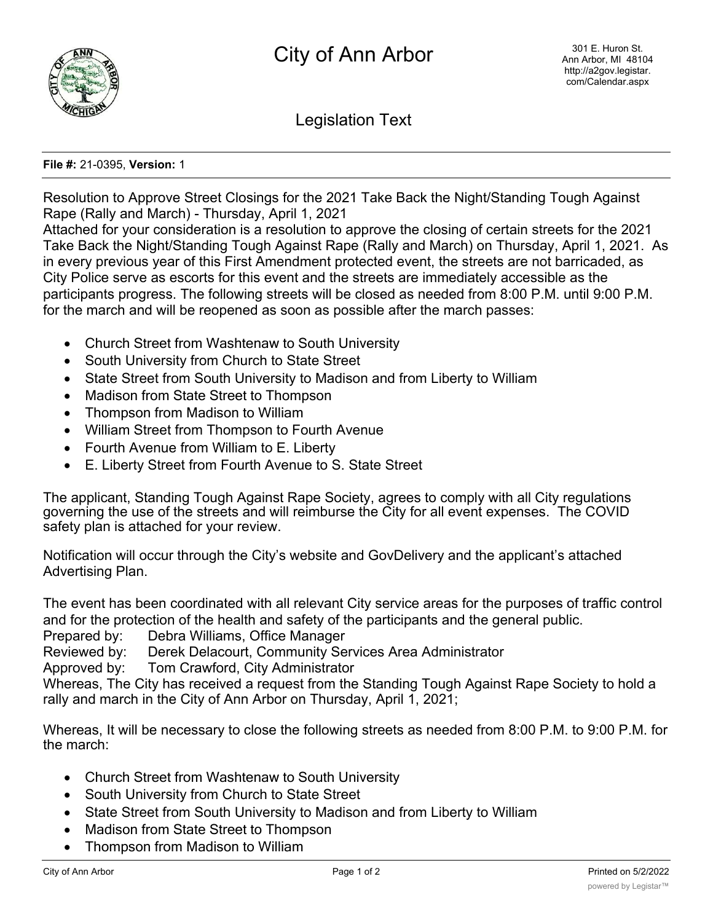

Legislation Text

## **File #:** 21-0395, **Version:** 1

Resolution to Approve Street Closings for the 2021 Take Back the Night/Standing Tough Against Rape (Rally and March) - Thursday, April 1, 2021

Attached for your consideration is a resolution to approve the closing of certain streets for the 2021 Take Back the Night/Standing Tough Against Rape (Rally and March) on Thursday, April 1, 2021. As in every previous year of this First Amendment protected event, the streets are not barricaded, as City Police serve as escorts for this event and the streets are immediately accessible as the participants progress. The following streets will be closed as needed from 8:00 P.M. until 9:00 P.M. for the march and will be reopened as soon as possible after the march passes:

- · Church Street from Washtenaw to South University
- South University from Church to State Street
- State Street from South University to Madison and from Liberty to William
- · Madison from State Street to Thompson
- · Thompson from Madison to William
- · William Street from Thompson to Fourth Avenue
- · Fourth Avenue from William to E. Liberty
- · E. Liberty Street from Fourth Avenue to S. State Street

The applicant, Standing Tough Against Rape Society, agrees to comply with all City regulations governing the use of the streets and will reimburse the City for all event expenses. The COVID safety plan is attached for your review.

Notification will occur through the City's website and GovDelivery and the applicant's attached Advertising Plan.

The event has been coordinated with all relevant City service areas for the purposes of traffic control and for the protection of the health and safety of the participants and the general public.

Prepared by: Debra Williams, Office Manager

Reviewed by: Derek Delacourt, Community Services Area Administrator

Approved by: Tom Crawford, City Administrator

Whereas, The City has received a request from the Standing Tough Against Rape Society to hold a rally and march in the City of Ann Arbor on Thursday, April 1, 2021;

Whereas, It will be necessary to close the following streets as needed from 8:00 P.M. to 9:00 P.M. for the march:

- · Church Street from Washtenaw to South University
- · South University from Church to State Street
- State Street from South University to Madison and from Liberty to William
- · Madison from State Street to Thompson
- · Thompson from Madison to William